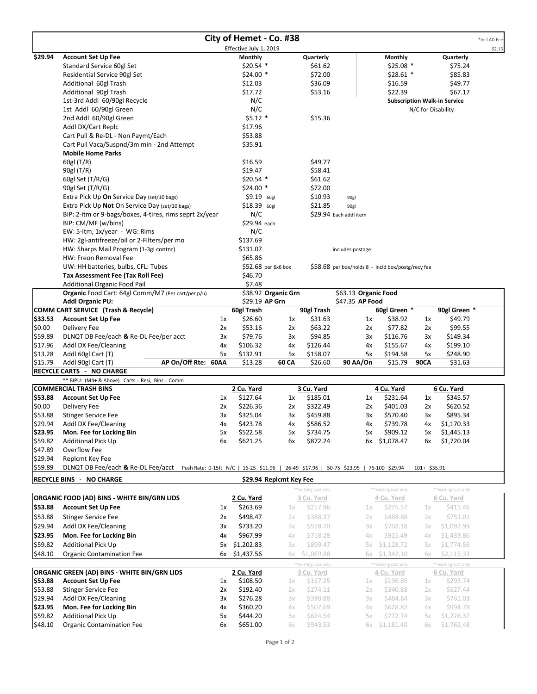|                                                                                                                                                        |                                                                        |    |                        | City of Hemet - Co. #38 |                       |                                                    |                       |                    |                                     | *Incl AD Fee |
|--------------------------------------------------------------------------------------------------------------------------------------------------------|------------------------------------------------------------------------|----|------------------------|-------------------------|-----------------------|----------------------------------------------------|-----------------------|--------------------|-------------------------------------|--------------|
|                                                                                                                                                        |                                                                        |    | Effective July 1, 2019 |                         |                       |                                                    |                       |                    |                                     | \$2.15       |
| \$29.94                                                                                                                                                | <b>Account Set Up Fee</b>                                              |    | Monthly                |                         | Quarterly             |                                                    | Monthly               |                    | Quarterly                           |              |
|                                                                                                                                                        | Standard Service 60gl Set                                              |    | $$20.54$ *             |                         | \$61.62               |                                                    | $$25.08$ *            |                    | \$75.24                             |              |
|                                                                                                                                                        | Residential Service 90gl Set                                           |    | $$24.00*$              |                         | \$72.00               |                                                    | $$28.61$ *            |                    | \$85.83                             |              |
|                                                                                                                                                        | Additional 60gl Trash                                                  |    | \$12.03                |                         | \$36.09               |                                                    | \$16.59               |                    | \$49.77                             |              |
|                                                                                                                                                        | Additional 90gl Trash                                                  |    | \$17.72                |                         | \$53.16               |                                                    | \$22.39               |                    | \$67.17                             |              |
|                                                                                                                                                        | 1st-3rd Addl 60/90gl Recycle                                           |    | N/C                    |                         |                       |                                                    |                       |                    | <b>Subscription Walk-in Service</b> |              |
|                                                                                                                                                        | 1st Addl 60/90gl Green                                                 |    | N/C                    |                         |                       |                                                    |                       | N/C for Disability |                                     |              |
|                                                                                                                                                        | 2nd Addl 60/90gl Green                                                 |    | $$5.12$ *              |                         | \$15.36               |                                                    |                       |                    |                                     |              |
|                                                                                                                                                        | Addl DX/Cart Replc                                                     |    | \$17.96                |                         |                       |                                                    |                       |                    |                                     |              |
|                                                                                                                                                        | Cart Pull & Re-DL - Non Paymt/Each                                     |    | \$53.88                |                         |                       |                                                    |                       |                    |                                     |              |
|                                                                                                                                                        | Cart Pull Vaca/Suspnd/3m min - 2nd Attempt<br><b>Mobile Home Parks</b> |    | \$35.91                |                         |                       |                                                    |                       |                    |                                     |              |
|                                                                                                                                                        | 60gl (T/R)                                                             |    | \$16.59                |                         | \$49.77               |                                                    |                       |                    |                                     |              |
|                                                                                                                                                        | 90gl (T/R)                                                             |    | \$19.47                |                         | \$58.41               |                                                    |                       |                    |                                     |              |
|                                                                                                                                                        | 60gl Set $(T/R/G)$                                                     |    | $$20.54$ *             |                         | \$61.62               |                                                    |                       |                    |                                     |              |
|                                                                                                                                                        | 90gl Set (T/R/G)                                                       |    | \$24.00 *              |                         | \$72.00               |                                                    |                       |                    |                                     |              |
|                                                                                                                                                        | Extra Pick Up On Service Day (set/10 bags)                             |    | $$9.19$ $60gl$         |                         | \$10.93               | 90gl                                               |                       |                    |                                     |              |
|                                                                                                                                                        | Extra Pick Up Not On Service Day (set/10 bags)                         |    | $$18.39$ 60gl          |                         | \$21.85               | 90gl                                               |                       |                    |                                     |              |
|                                                                                                                                                        | BIP: 2-itm or 9-bags/boxes, 4-tires, rims seprt 2x/year                |    | N/C                    |                         |                       | \$29.94 Each addl item                             |                       |                    |                                     |              |
|                                                                                                                                                        | BIP: CM/MF (w/bins)                                                    |    | \$29.94 each           |                         |                       |                                                    |                       |                    |                                     |              |
|                                                                                                                                                        | EW: 5-itm, 1x/year - WG: Rims                                          |    | N/C                    |                         |                       |                                                    |                       |                    |                                     |              |
|                                                                                                                                                        | HW: 2gl-antifreeze/oil or 2-Filters/per mo                             |    | \$137.69               |                         |                       |                                                    |                       |                    |                                     |              |
|                                                                                                                                                        | HW: Sharps Mail Program (1-3gl contnr)                                 |    | \$131.07               |                         |                       | includes postage                                   |                       |                    |                                     |              |
|                                                                                                                                                        | HW: Freon Removal Fee                                                  |    | \$65.86                |                         |                       |                                                    |                       |                    |                                     |              |
|                                                                                                                                                        | UW: HH batteries, bulbs, CFL: Tubes                                    |    |                        | \$52.68 per 6x6 box     |                       | \$58.68 per box/holds 8 - incld box/postg/recy fee |                       |                    |                                     |              |
|                                                                                                                                                        | Tax Assessment Fee (Tax Roll Fee)                                      |    | \$46.70                |                         |                       |                                                    |                       |                    |                                     |              |
|                                                                                                                                                        | <b>Additional Organic Food Pail</b>                                    |    | \$7.48                 |                         |                       |                                                    |                       |                    |                                     |              |
|                                                                                                                                                        | Organic Food Cart: 64gl Comm/M7 (Per cart/per p/u)                     |    |                        | \$38.92 Organic Grn     |                       | \$63.13 Organic Food                               |                       |                    |                                     |              |
|                                                                                                                                                        | <b>Addl Organic PU:</b>                                                |    |                        | \$29.19 AP Grn          |                       | \$47.35 AP Food                                    |                       |                    |                                     |              |
|                                                                                                                                                        | COMM CART SERVICE (Trash & Recycle)                                    |    | 60gl Trash             |                         | 90gl Trash            |                                                    | 60gl Green *          |                    | 90gl Green *                        |              |
| \$33.53                                                                                                                                                | <b>Account Set Up Fee</b>                                              | 1x | \$26.60                | 1x                      | \$31.63               | 1x                                                 | \$38.92               | 1x                 | \$49.79                             |              |
| \$0.00                                                                                                                                                 | Delivery Fee                                                           | 2x | \$53.16                | 2x                      | \$63.22               | 2x                                                 | \$77.82               | 2x                 | \$99.55                             |              |
| \$59.89                                                                                                                                                | DLNQT DB Fee/each & Re-DL Fee/per acct                                 | 3x | \$79.76                | 3x                      | \$94.85               | 3x                                                 | \$116.76              | 3x                 | \$149.34                            |              |
| \$17.96                                                                                                                                                | Addl DX Fee/Cleaning                                                   | 4х | \$106.32               | 4х                      | \$126.44              | 4х                                                 | \$155.67              | 4х                 | \$199.10                            |              |
| \$13.28<br>\$15.79                                                                                                                                     | Addl 60gl Cart (T)<br>AP On/Off Rte: 60AA<br>Addl 90gl Cart (T)        | 5x | \$132.91<br>\$13.28    | 5x<br>60 CA             | \$158.07<br>\$26.60   | 5x<br>90 AA/On                                     | \$194.58<br>\$15.79   | 5x<br><b>90CA</b>  | \$248.90<br>\$31.63                 |              |
|                                                                                                                                                        | <b>RECYCLE CARTS - NO CHARGE</b>                                       |    |                        |                         |                       |                                                    |                       |                    |                                     |              |
|                                                                                                                                                        | ** BIPU: (M4+ & Above) Carts = Resi, Bins = Comm                       |    |                        |                         |                       |                                                    |                       |                    |                                     |              |
|                                                                                                                                                        | <b>COMMERCIAL TRASH BINS</b>                                           |    | 2 Cu. Yard             |                         | <u>3 Cu. Yard</u>     |                                                    | 4 Cu. Yard            |                    | 6 Cu. Yard                          |              |
| \$53.88                                                                                                                                                | <b>Account Set Up Fee</b>                                              | 1x | \$127.64               | 1x                      | \$185.01              | 1x                                                 | \$231.64              | 1x                 | \$345.57                            |              |
| \$0.00                                                                                                                                                 | Delivery Fee                                                           | 2x | \$226.36               | 2x                      | \$322.49              | 2x                                                 | \$401.03              | 2x                 | \$620.52                            |              |
| \$53.88                                                                                                                                                | <b>Stinger Service Fee</b>                                             | Зχ | \$325.04               | Зx                      | \$459.88              | 3x                                                 | \$570.40              | 3x                 | \$895.34                            |              |
| \$29.94                                                                                                                                                | Addl DX Fee/Cleaning                                                   | 4х | \$423.78               | 4х                      | \$586.52              | 4х                                                 | \$739.78              | 4х                 | \$1,170.33                          |              |
| \$23.95                                                                                                                                                | Mon. Fee for Locking Bin                                               | 5x | \$522.58               | 5х                      | \$734.75              | 5x                                                 | \$909.12              | 5x                 | \$1,445.13                          |              |
| \$59.82                                                                                                                                                | <b>Additional Pick Up</b>                                              | 6x | \$621.25               | 6x                      | \$872.24              | 6x                                                 | \$1,078.47            | 6x                 | \$1,720.04                          |              |
| \$47.89                                                                                                                                                | Overflow Fee                                                           |    |                        |                         |                       |                                                    |                       |                    |                                     |              |
| \$29.94                                                                                                                                                | Replcmt Key Fee                                                        |    |                        |                         |                       |                                                    |                       |                    |                                     |              |
| \$59.89<br>DLNQT DB Fee/each & Re-DL Fee/acct<br>Push Rate: 0-15ft N/C   16-25 \$11.96   26-49 \$17.96   50-75 \$23.95   76-100 \$29.94   101+ \$35.91 |                                                                        |    |                        |                         |                       |                                                    |                       |                    |                                     |              |
|                                                                                                                                                        | <b>RECYCLE BINS - NO CHARGE</b>                                        |    |                        | \$29.94 Replcmt Key Fee |                       |                                                    |                       |                    |                                     |              |
|                                                                                                                                                        |                                                                        |    |                        |                         | ** existing cust only |                                                    | ** existing cust only |                    | ** existing cust only               |              |
|                                                                                                                                                        | ORGANIC FOOD (AD) BINS - WHITE BIN/GRN LIDS                            |    | 2 Cu. Yard             |                         | 3 Cu. Yard            |                                                    | 4 Cu. Yard            |                    | 6 Cu. Yard                          |              |
| \$53.88                                                                                                                                                | <b>Account Set Up Fee</b>                                              | 1x | \$263.69               | 1x                      | \$217.96              | 1x                                                 | \$275.57              | 1x                 | \$411.46                            |              |
| \$53.88                                                                                                                                                | <b>Stinger Service Fee</b>                                             | 2x | \$498.47               | 2x                      | \$388.37              | 2x                                                 | \$488.88              | 2x                 | \$753.01                            |              |
| \$29.94                                                                                                                                                | Addl DX Fee/Cleaning                                                   | Зx | \$733.20               | Зχ                      | \$558.70              | Зχ                                                 | \$702.18              | Зχ                 | \$1,092.99                          |              |
| \$23.95                                                                                                                                                | Mon. Fee for Locking Bin                                               | 4х | \$967.99               | 4х                      | \$718.28              | 4х                                                 | \$915.49              | 4х                 | \$1,433.86                          |              |
| \$59.82                                                                                                                                                | <b>Additional Pick Up</b>                                              | 5х | \$1,202.83             | 5х                      | \$899.47              | 5х                                                 | \$1,128.72            | 5x                 | \$1,774.56                          |              |
| \$48.10                                                                                                                                                | <b>Organic Contamination Fee</b>                                       | 6x | \$1,437.56             | 6х                      | \$1,069.88            | 6x                                                 | \$1,342.10            | 6x                 | \$2,115.33                          |              |
|                                                                                                                                                        |                                                                        |    |                        |                         | ** existing cust only |                                                    | ** existing cust only |                    | ** existing cust only               |              |
|                                                                                                                                                        | ORGANIC GREEN (AD) BINS - WHITE BIN/GRN LIDS                           |    | 2 Cu. Yard             |                         | 3 Cu. Yard            |                                                    | 4 Cu. Yard            |                    | 6 Cu. Yard                          |              |
| \$53.88                                                                                                                                                | <b>Account Set Up Fee</b>                                              | 1x | \$108.50               | 1x                      | \$157.25              | 1x                                                 | \$196.89              | 1x                 | \$293.74                            |              |
| \$53.88                                                                                                                                                | <b>Stinger Service Fee</b>                                             | 2x | \$192.40               | 2x                      | \$274.11              | 2x                                                 | \$340.88              | 2x                 | \$527.44                            |              |
| \$29.94                                                                                                                                                | Addl DX Fee/Cleaning                                                   | 3x | \$276.28               | Зχ                      | \$390.88              | Зχ                                                 | \$484.84              | 3x                 | \$761.03                            |              |
| \$23.95                                                                                                                                                | Mon. Fee for Locking Bin                                               | 4x | \$360.20               | 4х                      | \$507.69              | 4х                                                 | \$628.82              | 4х                 | \$994.78                            |              |
| \$59.82                                                                                                                                                | <b>Additional Pick Up</b>                                              | 5х | \$444.20               | 5x                      | \$624.54              | 5x                                                 | \$772.74              | 5x                 | \$1,228.37                          |              |
| \$48.10                                                                                                                                                | <b>Organic Contamination Fee</b>                                       | 6x | \$651.00               | 6х                      | \$943.53              |                                                    | 6x \$1,181.40         | 6x                 | \$1,762.48                          |              |
|                                                                                                                                                        |                                                                        |    |                        |                         |                       |                                                    |                       |                    |                                     |              |